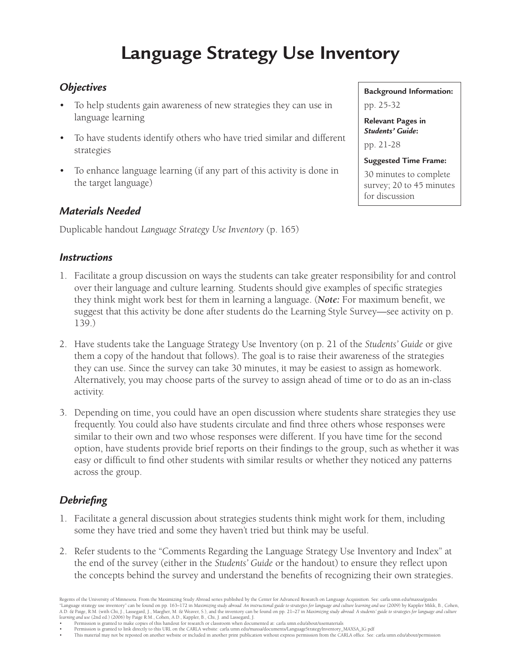## **Language Strategy Use Inventory**

## *Objectives*

- To help students gain awareness of new strategies they can use in language learning
- To have students identify others who have tried similar and different strategies
- To enhance language learning (if any part of this activity is done in the target language)

## *Materials Needed*

Duplicable handout *Language Strategy Use Inventory* (p. 165)

## *Instructions*

- 1. Facilitate a group discussion on ways the students can take greater responsibility for and control over their language and culture learning. Students should give examples of specific strategies they think might work best for them in learning a language. (*Note:* For maximum benefit, we suggest that this activity be done after students do the Learning Style Survey—see activity on p. 139.)
- 2. Have students take the Language Strategy Use Inventory (on p. 21 of the *Students' Guide* or give them a copy of the handout that follows). The goal is to raise their awareness of the strategies they can use. Since the survey can take 30 minutes, it may be easiest to assign as homework. Alternatively, you may choose parts of the survey to assign ahead of time or to do as an in-class activity.
- 3. Depending on time, you could have an open discussion where students share strategies they use frequently. You could also have students circulate and find three others whose responses were similar to their own and two whose responses were different. If you have time for the second option, have students provide brief reports on their findings to the group, such as whether it was easy or difficult to find other students with similar results or whether they noticed any patterns across the group.

## *Debriefing*

- 1. Facilitate a general discussion about strategies students think might work for them, including some they have tried and some they haven't tried but think may be useful.
- 2. Refer students to the "Comments Regarding the Language Strategy Use Inventory and Index" at the end of the survey (either in the *Students' Guide* or the handout) to ensure they reflect upon the concepts behind the survey and understand the benefits of recognizing their own strategies.

Regents of the University of Minnesota. From the Maximizing Study Abroad series published by the Center for Advanced Research on Language Acquisition. See: carla.umn.edu/maxsa/guides "Language strategy use inventory" can be found on pp. 163–172 in *Maximizing study abroad: An instructional guide to strategies for language and culture learning and use* (2009) by Kappler Mikk, B., Cohen, A.D. & Paige, R.M. (with Chi, J., Lassegard, J., Maegher, M. & Weaver, S.), and the inventory can be found on pp. 21–27 in Maximizing study abroad: A students' guide to strategies for language and culture<br>learning and use

• Permission is granted to make copies of this handout for research or classroom when documented at: carla.umn.edu/about/usematerials

Permission is granted to link directly to this URL on the CARLA website: carla.umn.edu/maxsa/documents/LanguageStrategyInventory\_MAXSA\_IG.pdf This material may not be reposted on another website or included in another print publication without express permission from the CARLA office. See: carla.umn.edu/about/permission

**Background Information:** pp. 25-32

**Relevant Pages in**  *Students' Guide***:**  pp. 21-28

for discussion

**Suggested Time Frame:**  30 minutes to complete survey; 20 to 45 minutes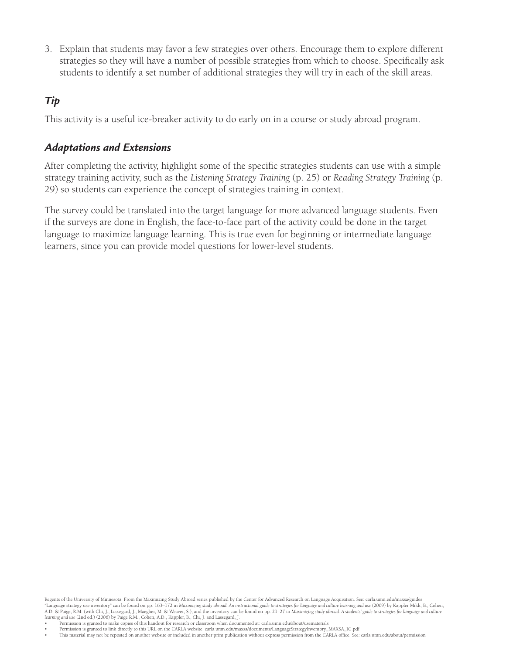3. Explain that students may favor a few strategies over others. Encourage them to explore different strategies so they will have a number of possible strategies from which to choose. Specifically ask students to identify a set number of additional strategies they will try in each of the skill areas.

## *Tip*

This activity is a useful ice-breaker activity to do early on in a course or study abroad program.

## *Adaptations and Extensions*

After completing the activity, highlight some of the specific strategies students can use with a simple strategy training activity, such as the *Listening Strategy Training* (p. 25) or *Reading Strategy Training* (p. 29) so students can experience the concept of strategies training in context.

The survey could be translated into the target language for more advanced language students. Even if the surveys are done in English, the face-to-face part of the activity could be done in the target language to maximize language learning. This is true even for beginning or intermediate language learners, since you can provide model questions for lower-level students.

Regents of the University of Minnesota. From the Maximizing Study Abroad series published by the Center for Advanced Research on Language Acquisition. See: carla.umn.edu/maxsa/guides "Language strategy use inventory" can be found on pp. 163–172 in *Maximizing study abroad: An instructional guide to strategies for language and culture learning and use* (2009) by Kappler Mikk, B., Cohen, A.D. & Paige, R.M. (with Chi, J., Lassegard, J., Maegher, M. & Weaver, S.), and the inventory can be found on pp. 21–27 in Maximizing study abroad: A students' guide to strategies for language and culture<br>learning and use

• Permission is granted to make copies of this handout for research or classroom when documented at: carla.umn.edu/about/usematerials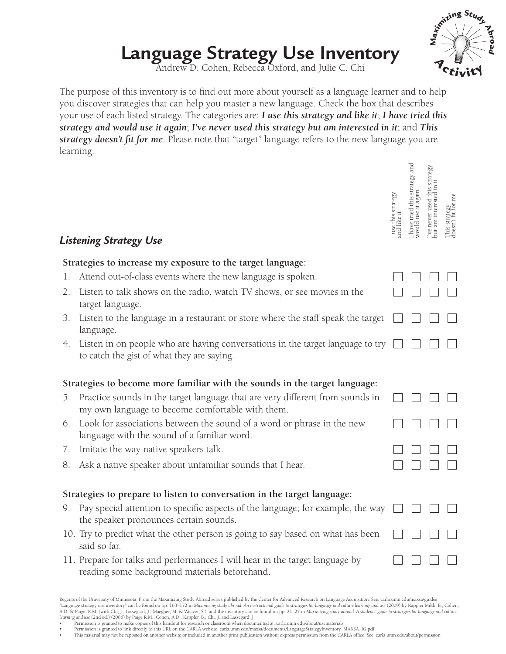## Language Strategy Use Inventory<br>Andrew D. Cohen, Rebecca Oxford, and Julie C. Chi

The purpose of this inventory is to find out more about yourself as a language learner and to help you discover strategies that can help you master a new language. Check the box that describes your use of each listed strategy. The categories are: *I use this strategy and like it*; *I have tried this strategy and would use it again*; *I've never used this strategy but am interested in it*; and *This strategy doesn't fit for me*. Please note that "target" language refers to the new language you are learning.

|    | Listening Strategy Use                                                                                                            | use this strategy | have tried this strategy and<br>rould use it again<br>again | strategy<br>I've never used this<br>but am interested in | e<br>This strategy<br>doesn't fit for 1 |  |
|----|-----------------------------------------------------------------------------------------------------------------------------------|-------------------|-------------------------------------------------------------|----------------------------------------------------------|-----------------------------------------|--|
|    | Strategies to increase my exposure to the target language:                                                                        |                   |                                                             |                                                          |                                         |  |
| 1. | Attend out-of-class events where the new language is spoken.                                                                      |                   |                                                             |                                                          |                                         |  |
| 2. | Listen to talk shows on the radio, watch TV shows, or see movies in the<br>target language.                                       |                   |                                                             |                                                          |                                         |  |
| 3. | Listen to the language in a restaurant or store where the staff speak the target<br>language.                                     |                   |                                                             |                                                          |                                         |  |
| 4. | Listen in on people who are having conversations in the target language to try<br>to catch the gist of what they are saying.      |                   |                                                             |                                                          |                                         |  |
|    | Strategies to become more familiar with the sounds in the target language:                                                        |                   |                                                             |                                                          |                                         |  |
| 5. | Practice sounds in the target language that are very different from sounds in<br>my own language to become comfortable with them. |                   |                                                             |                                                          |                                         |  |
| 6. | Look for associations between the sound of a word or phrase in the new<br>language with the sound of a familiar word.             |                   |                                                             |                                                          |                                         |  |
| 7. | Imitate the way native speakers talk.                                                                                             |                   |                                                             |                                                          |                                         |  |
| 8. | Ask a native speaker about unfamiliar sounds that I hear.                                                                         |                   |                                                             |                                                          |                                         |  |
|    | Strategies to prepare to listen to conversation in the target language:                                                           |                   |                                                             |                                                          |                                         |  |
| 9. | Pay special attention to specific aspects of the language; for example, the way<br>the speaker pronounces certain sounds.         |                   |                                                             |                                                          |                                         |  |
|    | 10. Try to predict what the other person is going to say based on what has been<br>said so far.                                   |                   |                                                             |                                                          |                                         |  |
|    | 11. Prepare for talks and performances I will hear in the target language by<br>reading some background materials beforehand      |                   |                                                             |                                                          |                                         |  |

## Regents of the University of Minnesota. From the Maximizing Study Abroad series published by the Center for Advanced Research on Language Acquisition. See: carla.umn.edu/maxsa/guides "Language strategy use inventory" can be found on pp. 163–172 in Maximizing study abroad: An instructional guide to strategies for language and culture learning and use (2009) by Kappler Mikk, B., Cohen,<br>A.D. & Paige, R.M.

• Permission is granted to make copies of this handout for research or classroom when documented at: carla.umn.edu/about/usematerials

Permission is granted to link directly to this URL on the CARLA website: carla.umn.edu/maxsa/documents/LanguageStrategyInventory\_MAXSA\_IG.pdf Prefical and he carla.umn.edu/about/permission<br>Phis material may not be reposted



## Strategies to increase my exposure to the target **state**

- 1. Attend out-of-class event
- 2. Listen to talk shows on target language.
- 3. Listen to the language in language.
- 4. Listen in on people who to catch the gist of what

## **Strategies to become more**

- 5. Practice sounds in the ta my own language to bec
- 6. Look for associations between the sound of a local or phrase in the new phrase in the new phrase in the new  $6.$ language with the sound
- 7. Imitate the way native sp
- 8. Ask a native speaker about 1 hear.

## **Strategies to prepare to lister**

- 9. Pay special attention to the speaker pronounces.
- 10. Try to predict what the o said so far.
- 11. Prepare for talks and per reading some background materials beforehand.



 $\mathbb Z$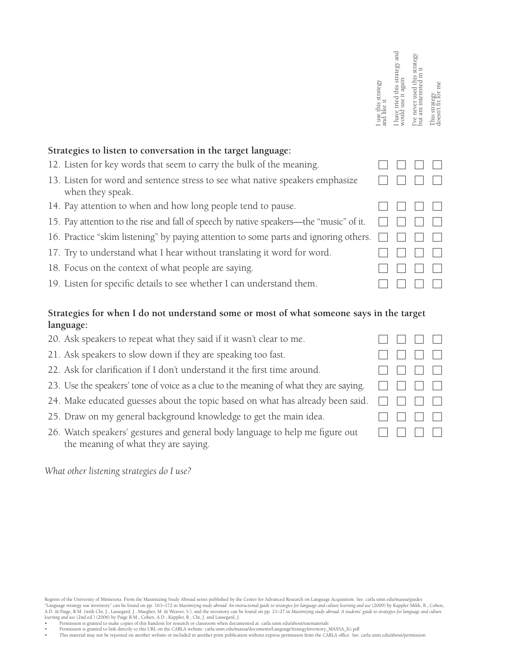|                                                                                                   | I use this strategy<br>and like it | and<br>strategy<br>use it again<br>I have tried this<br>would | strategy<br>out am interested<br>ve never used | This strategy<br>doesn't fit for 1 |
|---------------------------------------------------------------------------------------------------|------------------------------------|---------------------------------------------------------------|------------------------------------------------|------------------------------------|
| Strategies to listen to conversation in the target language:                                      |                                    |                                                               |                                                |                                    |
| 12. Listen for key words that seem to carry the bulk of the meaning.                              |                                    |                                                               |                                                |                                    |
| 13. Listen for word and sentence stress to see what native speakers emphasize<br>when they speak. |                                    |                                                               |                                                |                                    |
| 14. Pay attention to when and how long people tend to pause.                                      |                                    |                                                               |                                                |                                    |
| 15. Pay attention to the rise and fall of speech by native speakers—the "music" of it.            |                                    |                                                               |                                                |                                    |
| 16. Practice "skim listening" by paying attention to some parts and ignoring others.              |                                    |                                                               |                                                |                                    |
| 17. Try to understand what I hear without translating it word for word.                           |                                    |                                                               |                                                |                                    |
| 18. Focus on the context of what people are saying.                                               |                                    |                                                               |                                                |                                    |
| 19. Listen for specific details to see whether I can understand them.                             |                                    |                                                               |                                                |                                    |

## **Strategies for when I do not understand some or most of what someone says in the target language:**

 $\Box$ 

 $\Box$ 

 $\Box$ 

 $\perp$ 

 $\Box$ 

 $\mathbb{R}^n$ 

 $\Box$ 

 $\Box$ 

 $\perp$ 

 $\mathbb{R}^n$ 

 $\Box$ 

 $\Box$ 

- 20. Ask speakers to repeat what they said if it wasn't clear to me.
- 21. Ask speakers to slow down if they are speaking too fast.
- 22. Ask for clarification if I don't understand it the first time around.
- 23. Use the speakers' tone of voice as a clue to the meaning of what they are saying.
- 24. Make educated guesses about the topic based on what has already been said.
- 25. Draw on my general background knowledge to get the main idea.
- 26. Watch speakers' gestures and general body language to help me figure out the meaning of what they are saying.

*What other listening strategies do I use?*

- • Permission is granted to make copies of this handout for research or classroom when documented at: carla.umn.edu/about/usematerials
- Permission is granted to link directly to this URL on the CARLA website: carla.umn.edu/maxsa/documents/LanguageStrategyInventory\_MAXSA\_IG.pdf Prefical and he carla.umn.edu/about/permission<br>Phis material may not be reposted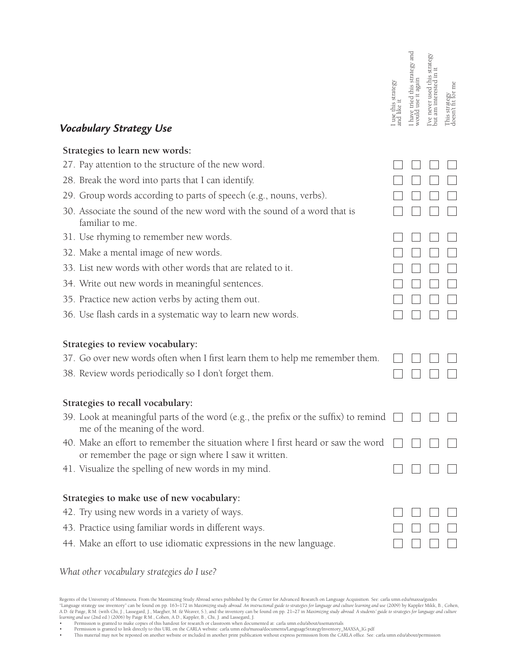| <b>Vocabulary Strategy Use</b>                                                                                                           | I use this strategy<br>and like it | I have tried this strategy and<br>would use it again | 've never used this strategy<br>but am interested in it | ्या<br>दिवे<br>दिवे<br>This strateg<br>doesn't fit f |
|------------------------------------------------------------------------------------------------------------------------------------------|------------------------------------|------------------------------------------------------|---------------------------------------------------------|------------------------------------------------------|
| Strategies to learn new words:                                                                                                           |                                    |                                                      |                                                         |                                                      |
| 27. Pay attention to the structure of the new word.                                                                                      |                                    |                                                      |                                                         |                                                      |
| 28. Break the word into parts that I can identify.                                                                                       |                                    |                                                      |                                                         |                                                      |
| 29. Group words according to parts of speech (e.g., nouns, verbs).                                                                       |                                    |                                                      |                                                         |                                                      |
| 30. Associate the sound of the new word with the sound of a word that is<br>familiar to me.                                              |                                    |                                                      |                                                         |                                                      |
| 31. Use rhyming to remember new words.                                                                                                   |                                    |                                                      |                                                         |                                                      |
| 32. Make a mental image of new words.                                                                                                    |                                    |                                                      |                                                         |                                                      |
| 33. List new words with other words that are related to it.                                                                              |                                    |                                                      |                                                         |                                                      |
| 34. Write out new words in meaningful sentences.                                                                                         |                                    |                                                      |                                                         |                                                      |
| 35. Practice new action verbs by acting them out.                                                                                        |                                    |                                                      |                                                         |                                                      |
| 36. Use flash cards in a systematic way to learn new words.                                                                              |                                    |                                                      |                                                         |                                                      |
| Strategies to review vocabulary:                                                                                                         |                                    |                                                      |                                                         |                                                      |
| 37. Go over new words often when I first learn them to help me remember them.                                                            |                                    |                                                      |                                                         |                                                      |
| 38. Review words periodically so I don't forget them.                                                                                    |                                    |                                                      |                                                         |                                                      |
| Strategies to recall vocabulary:                                                                                                         |                                    |                                                      |                                                         |                                                      |
| 39. Look at meaningful parts of the word (e.g., the prefix or the suffix) to remind $\Box$ $\Box$<br>me of the meaning of the word.      |                                    |                                                      |                                                         |                                                      |
| 40. Make an effort to remember the situation where I first heard or saw the word<br>or remember the page or sign where I saw it written. |                                    |                                                      |                                                         |                                                      |
| 41. Visualize the spelling of new words in my mind.                                                                                      |                                    |                                                      |                                                         |                                                      |
| Strategies to make use of new vocabulary:                                                                                                |                                    |                                                      |                                                         |                                                      |
| 42. Try using new words in a variety of ways.                                                                                            |                                    |                                                      |                                                         |                                                      |
| 43. Practice using familiar words in different ways.                                                                                     |                                    |                                                      |                                                         |                                                      |
| 44. Make an effort to use idiomatic expressions in the new language.                                                                     |                                    |                                                      |                                                         |                                                      |

### *What other vocabulary strategies do I use?*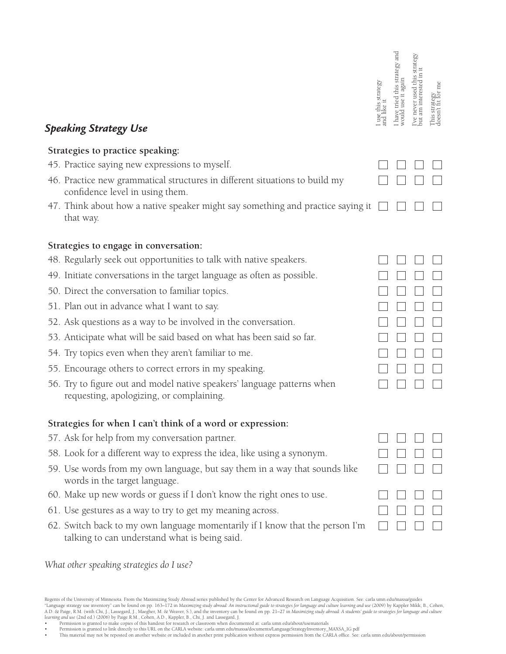| <b>Speaking Strategy Use</b>                                                                                                  | use this strategy<br>like it | have tried this strategy and<br>use it again<br>vould | is strategy<br>Ξ<br>am interested<br>ve never used<br>jnc | This strategy<br>doesn't fit for 1 |
|-------------------------------------------------------------------------------------------------------------------------------|------------------------------|-------------------------------------------------------|-----------------------------------------------------------|------------------------------------|
| Strategies to practice speaking:                                                                                              |                              |                                                       |                                                           |                                    |
| 45. Practice saying new expressions to myself.                                                                                |                              |                                                       |                                                           |                                    |
| 46. Practice new grammatical structures in different situations to build my<br>confidence level in using them.                |                              |                                                       |                                                           |                                    |
| 47. Think about how a native speaker might say something and practice saying it<br>that way.                                  |                              |                                                       |                                                           |                                    |
| Strategies to engage in conversation:                                                                                         |                              |                                                       |                                                           |                                    |
| 48. Regularly seek out opportunities to talk with native speakers.                                                            |                              |                                                       |                                                           |                                    |
| 49. Initiate conversations in the target language as often as possible.                                                       |                              |                                                       |                                                           |                                    |
| 50. Direct the conversation to familiar topics.                                                                               |                              |                                                       |                                                           |                                    |
| 51. Plan out in advance what I want to say.                                                                                   |                              |                                                       |                                                           |                                    |
| 52. Ask questions as a way to be involved in the conversation.                                                                |                              |                                                       |                                                           |                                    |
| 53. Anticipate what will be said based on what has been said so far.                                                          |                              |                                                       |                                                           |                                    |
| 54. Try topics even when they aren't familiar to me.                                                                          |                              |                                                       |                                                           |                                    |
| 55. Encourage others to correct errors in my speaking.                                                                        |                              |                                                       |                                                           |                                    |
| 56. Try to figure out and model native speakers' language patterns when<br>requesting, apologizing, or complaining.           |                              |                                                       |                                                           |                                    |
| Strategies for when I can't think of a word or expression:                                                                    |                              |                                                       |                                                           |                                    |
| 57. Ask for help from my conversation partner.                                                                                |                              |                                                       |                                                           |                                    |
| 58. Look for a different way to express the idea, like using a synonym.                                                       |                              |                                                       |                                                           |                                    |
| 59. Use words from my own language, but say them in a way that sounds like<br>words in the target language.                   |                              |                                                       |                                                           |                                    |
| 60. Make up new words or guess if I don't know the right ones to use.                                                         |                              |                                                       |                                                           |                                    |
| 61. Use gestures as a way to try to get my meaning across.                                                                    |                              |                                                       |                                                           |                                    |
| 62. Switch back to my own language momentarily if I know that the person I'm<br>talking to can understand what is being said. |                              |                                                       |                                                           |                                    |
| What other speaking strategies do I use?                                                                                      |                              |                                                       |                                                           |                                    |

Regents of the University of Minnesota. From the Maximizing Study Abroad series published by the Center for Advanced Research on Language Acquisition. See: carla.umn.edu/maxsa/guides "Language strategy use inventory" can b

Permission is granted to link directly to this URL on the CARLA website: carla.umn.edu/maxsa/documents/LanguageStrategyInventory\_MAXSA\_IG.pdf Prefical and he carla.umn.edu/about/permission<br>Phis material may not be reposted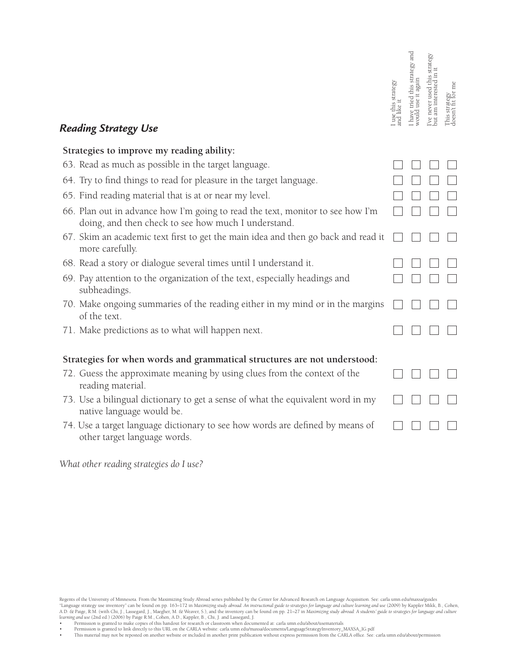|                                     | I have tried this strategy and<br>would use it again | I've never used this strategy<br>but am interested in it |
|-------------------------------------|------------------------------------------------------|----------------------------------------------------------|
|                                     |                                                      |                                                          |
|                                     |                                                      |                                                          |
|                                     |                                                      |                                                          |
|                                     |                                                      |                                                          |
|                                     |                                                      |                                                          |
|                                     |                                                      |                                                          |
|                                     |                                                      |                                                          |
|                                     |                                                      |                                                          |
|                                     |                                                      |                                                          |
|                                     |                                                      |                                                          |
|                                     |                                                      |                                                          |
|                                     |                                                      |                                                          |
| This strategy<br>doesn't fit for me |                                                      |                                                          |

# **Reading Strategy Use**<br>**Reading Strategy Use**

## **Strategies to improve my reading ability:**

| 63. Read as much as possible in the target language.                                                                                  |  |  |
|---------------------------------------------------------------------------------------------------------------------------------------|--|--|
| 64. Try to find things to read for pleasure in the target language.                                                                   |  |  |
| 65. Find reading material that is at or near my level.                                                                                |  |  |
| 66. Plan out in advance how I'm going to read the text, monitor to see how I'm<br>doing, and then check to see how much I understand. |  |  |
| 67. Skim an academic text first to get the main idea and then go back and read it<br>more carefully.                                  |  |  |
| 68. Read a story or dialogue several times until I understand it.                                                                     |  |  |
| 69. Pay attention to the organization of the text, especially headings and<br>subheadings.                                            |  |  |
| 70. Make ongoing summaries of the reading either in my mind or in the margins<br>of the text.                                         |  |  |
| 71. Make predictions as to what will happen next.                                                                                     |  |  |
| Strategies for when words and grammatical structures are not understood:                                                              |  |  |
| 72. Guess the approximate meaning by using clues from the context of the<br>reading material.                                         |  |  |
| 73. Use a bilingual dictionary to get a sense of what the equivalent word in my<br>native language would be.                          |  |  |
| 74. Use a target language dictionary to see how words are defined by means of<br>other target language words.                         |  |  |

*What other reading strategies do I use?*

Regents of the University of Minnesota. From the Maximizing Study Abroad series published by the Center for Advanced Research on Language Acquisition. See: carla.umn.edu/maxsa/guides "Language strategy use inventory" can b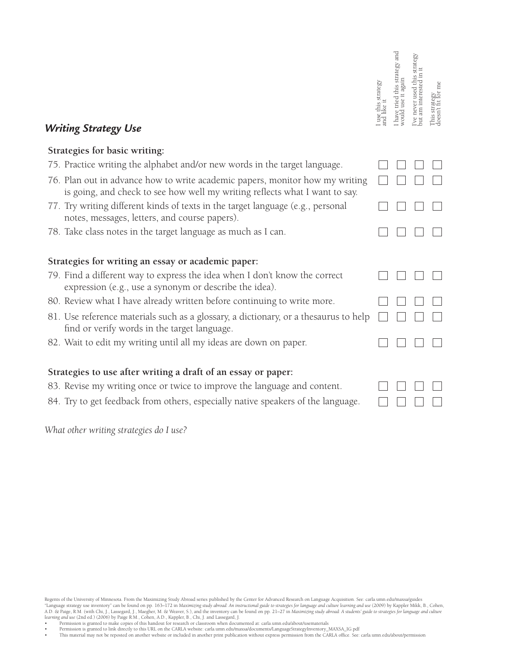| <b>Writing Strategy Use</b>                                                                                                                                 | use this strategy<br>and like it | and<br>tried this strategy<br>use it again<br>would | ve never used this<br>put | This strategy<br>doesn't fit for me |
|-------------------------------------------------------------------------------------------------------------------------------------------------------------|----------------------------------|-----------------------------------------------------|---------------------------|-------------------------------------|
| Strategies for basic writing:                                                                                                                               |                                  |                                                     |                           |                                     |
| 75. Practice writing the alphabet and/or new words in the target language.                                                                                  |                                  |                                                     |                           |                                     |
| 76. Plan out in advance how to write academic papers, monitor how my writing<br>is going, and check to see how well my writing reflects what I want to say. |                                  |                                                     |                           |                                     |
| 77. Try writing different kinds of texts in the target language (e.g., personal<br>notes, messages, letters, and course papers).                            |                                  |                                                     |                           |                                     |
| 78. Take class notes in the target language as much as I can.                                                                                               |                                  |                                                     |                           |                                     |
| Strategies for writing an essay or academic paper:                                                                                                          |                                  |                                                     |                           |                                     |
| 79. Find a different way to express the idea when I don't know the correct<br>expression (e.g., use a synonym or describe the idea).                        |                                  |                                                     |                           |                                     |
| 80. Review what I have already written before continuing to write more.                                                                                     |                                  |                                                     |                           |                                     |
| 81. Use reference materials such as a glossary, a dictionary, or a thesaurus to help<br>find or verify words in the target language.                        |                                  |                                                     |                           |                                     |
| 82. Wait to edit my writing until all my ideas are down on paper.                                                                                           |                                  |                                                     |                           |                                     |
| Strategies to use after writing a draft of an essay or paper:                                                                                               |                                  |                                                     |                           |                                     |
| 83. Revise my writing once or twice to improve the language and content.                                                                                    |                                  |                                                     |                           |                                     |

84. Try to get feedback from others, especially native speakers of the language.

*What other writing strategies do I use?*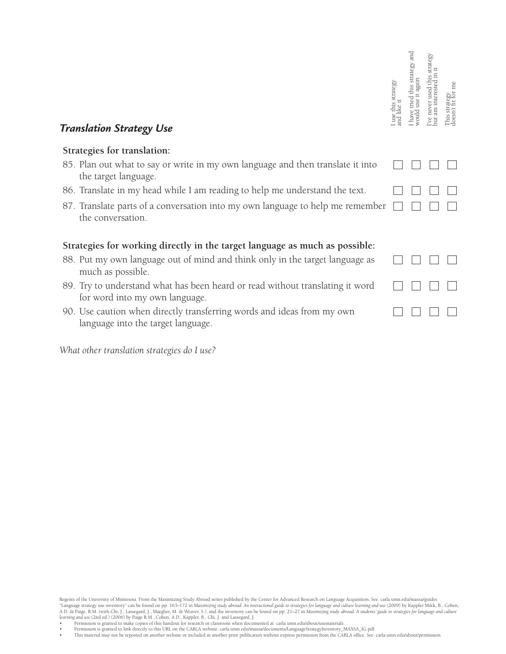| <b>Translation Strategy Use</b>                                                                                 | use this strategy | and<br>this strategy<br>use | strategy<br>used<br>never | This strategy<br>doesn't fit for 1 |
|-----------------------------------------------------------------------------------------------------------------|-------------------|-----------------------------|---------------------------|------------------------------------|
| Strategies for translation:                                                                                     |                   |                             |                           |                                    |
| 85. Plan out what to say or write in my own language and then translate it into<br>the target language.         |                   |                             |                           |                                    |
| 86. Translate in my head while I am reading to help me understand the text.                                     |                   |                             |                           |                                    |
| 87. Translate parts of a conversation into my own language to help me remember<br>the conversation.             |                   |                             |                           |                                    |
| Strategies for working directly in the target language as much as possible:                                     |                   |                             |                           |                                    |
| 88. Put my own language out of mind and think only in the target language as<br>much as possible.               |                   |                             |                           |                                    |
| 89. Try to understand what has been heard or read without translating it word<br>for word into my own language. |                   |                             |                           |                                    |
| 90. Use caution when directly transferring words and ideas from my own<br>language into the target language.    |                   |                             |                           |                                    |

*What other translation strategies do I use?*